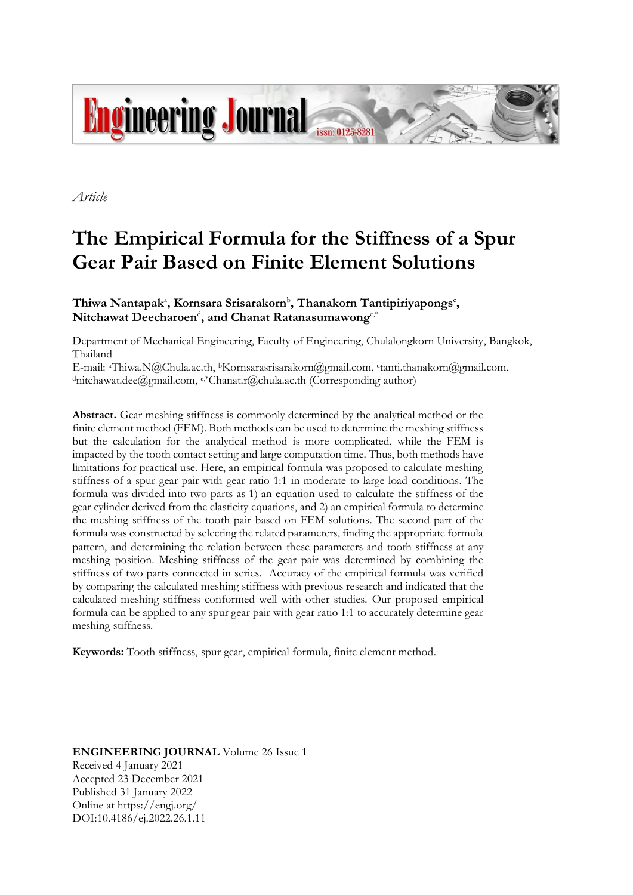

*Article*

# **The Empirical Formula for the Stiffness of a Spur Gear Pair Based on Finite Element Solutions**

Thiwa Nantapak<sup>a</sup>, Kornsara Srisarakorn<sup>b</sup>, Thanakorn Tantipiriyapongs<sup>c</sup>,  $\mathbf{N}$ itchawat  $\mathbf{Deecharoen}^\text{d}$ , and  $\mathbf{Chanat}$   $\mathbf{R}$ atanasumawong $^{\text{e,*}}$ 

Department of Mechanical Engineering, Faculty of Engineering, Chulalongkorn University, Bangkok, Thailand

E-mail: aThiwa.N@Chula.ac.th, <sup>b</sup>Kornsarasrisarakorn@gmail.com, c tanti.thanakorn@gmail.com, <sup>d</sup>nitchawat.dee@gmail.com, e,\*Chanat.r@chula.ac.th (Corresponding author)

**Abstract.** Gear meshing stiffness is commonly determined by the analytical method or the finite element method (FEM). Both methods can be used to determine the meshing stiffness but the calculation for the analytical method is more complicated, while the FEM is impacted by the tooth contact setting and large computation time. Thus, both methods have limitations for practical use. Here, an empirical formula was proposed to calculate meshing stiffness of a spur gear pair with gear ratio 1:1 in moderate to large load conditions. The formula was divided into two parts as 1) an equation used to calculate the stiffness of the gear cylinder derived from the elasticity equations, and 2) an empirical formula to determine the meshing stiffness of the tooth pair based on FEM solutions. The second part of the formula was constructed by selecting the related parameters, finding the appropriate formula pattern, and determining the relation between these parameters and tooth stiffness at any meshing position. Meshing stiffness of the gear pair was determined by combining the stiffness of two parts connected in series. Accuracy of the empirical formula was verified by comparing the calculated meshing stiffness with previous research and indicated that the calculated meshing stiffness conformed well with other studies. Our proposed empirical formula can be applied to any spur gear pair with gear ratio 1:1 to accurately determine gear meshing stiffness.

**Keywords:** Tooth stiffness, spur gear, empirical formula, finite element method.

**ENGINEERING JOURNAL** Volume 26 Issue 1 Received 4 January 2021 Accepted 23 December 2021 Published 31 January 2022 Online at https://engj.org/ DOI:10.4186/ej.2022.26.1.11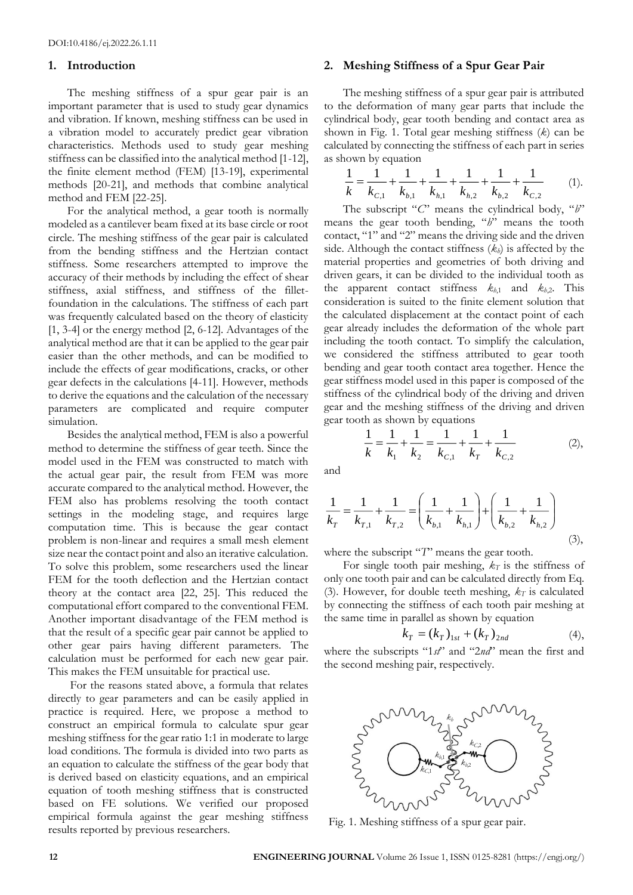### **1. Introduction**

The meshing stiffness of a spur gear pair is an important parameter that is used to study gear dynamics and vibration. If known, meshing stiffness can be used in a vibration model to accurately predict gear vibration characteristics. Methods used to study gear meshing stiffness can be classified into the analytical method [1-12], the finite element method (FEM) [13-19], experimental methods [20-21], and methods that combine analytical method and FEM [22-25].

For the analytical method, a gear tooth is normally modeled as a cantilever beam fixed at its base circle or root circle. The meshing stiffness of the gear pair is calculated from the bending stiffness and the Hertzian contact stiffness. Some researchers attempted to improve the accuracy of their methods by including the effect of shear stiffness, axial stiffness, and stiffness of the filletfoundation in the calculations. The stiffness of each part was frequently calculated based on the theory of elasticity [1, 3-4] or the energy method [2, 6-12]. Advantages of the analytical method are that it can be applied to the gear pair easier than the other methods, and can be modified to include the effects of gear modifications, cracks, or other gear defects in the calculations [4-11]. However, methods to derive the equations and the calculation of the necessary parameters are complicated and require computer simulation.

Besides the analytical method, FEM is also a powerful method to determine the stiffness of gear teeth. Since the model used in the FEM was constructed to match with the actual gear pair, the result from FEM was more accurate compared to the analytical method. However, the FEM also has problems resolving the tooth contact settings in the modeling stage, and requires large computation time. This is because the gear contact problem is non-linear and requires a small mesh element size near the contact point and also an iterative calculation. To solve this problem, some researchers used the linear FEM for the tooth deflection and the Hertzian contact theory at the contact area [22, 25]. This reduced the computational effort compared to the conventional FEM. Another important disadvantage of the FEM method is that the result of a specific gear pair cannot be applied to other gear pairs having different parameters. The calculation must be performed for each new gear pair. This makes the FEM unsuitable for practical use.

For the reasons stated above, a formula that relates directly to gear parameters and can be easily applied in practice is required. Here, we propose a method to construct an empirical formula to calculate spur gear meshing stiffness for the gear ratio 1:1 in moderate to large load conditions. The formula is divided into two parts as an equation to calculate the stiffness of the gear body that is derived based on elasticity equations, and an empirical equation of tooth meshing stiffness that is constructed based on FE solutions. We verified our proposed empirical formula against the gear meshing stiffness results reported by previous researchers.

## **2. Meshing Stiffness of a Spur Gear Pair**

The meshing stiffness of a spur gear pair is attributed to the deformation of many gear parts that include the cylindrical body, gear tooth bending and contact area as shown in Fig. 1. Total gear meshing stiffness (*k*) can be calculated by connecting the stiffness of each part in series as shown by equation

$$
\frac{1}{k} = \frac{1}{k_{c,1}} + \frac{1}{k_{b,1}} + \frac{1}{k_{h,1}} + \frac{1}{k_{h,2}} + \frac{1}{k_{b,2}} + \frac{1}{k_{c,2}} \tag{1}
$$

The subscript "*C*" means the cylindrical body, "*b*" means the gear tooth bending, "*h*" means the tooth contact, "1" and "2" means the driving side and the driven side. Although the contact stiffness (*kh*) is affected by the material properties and geometries of both driving and driven gears, it can be divided to the individual tooth as the apparent contact stiffness  $k_{h1}$  and  $k_{h2}$ . This consideration is suited to the finite element solution that the calculated displacement at the contact point of each gear already includes the deformation of the whole part including the tooth contact. To simplify the calculation, we considered the stiffness attributed to gear tooth bending and gear tooth contact area together. Hence the gear stiffness model used in this paper is composed of the stiffness of the cylindrical body of the driving and driven gear and the meshing stiffness of the driving and driven gear tooth as shown by equations

$$
\frac{1}{k} = \frac{1}{k_1} + \frac{1}{k_2} = \frac{1}{k_{C,1}} + \frac{1}{k_T} + \frac{1}{k_{C,2}}\tag{2},
$$

and

$$
\frac{1}{k_T} = \frac{1}{k_{T,1}} + \frac{1}{k_{T,2}} = \left(\frac{1}{k_{b,1}} + \frac{1}{k_{h,1}}\right) + \left(\frac{1}{k_{b,2}} + \frac{1}{k_{h,2}}\right)
$$
(3),

where the subscript "*T*" means the gear tooth.

For single tooth pair meshing,  $k_T$  is the stiffness of only one tooth pair and can be calculated directly from Eq. (3). However, for double teeth meshing,  $k_T$  is calculated by connecting the stiffness of each tooth pair meshing at the same time in parallel as shown by equation

$$
k_T = (k_T)_{1st} + (k_T)_{2nd} \tag{4}
$$

where the subscripts "1*st*" and "2*nd*" mean the first and the second meshing pair, respectively.



Fig. 1. Meshing stiffness of a spur gear pair.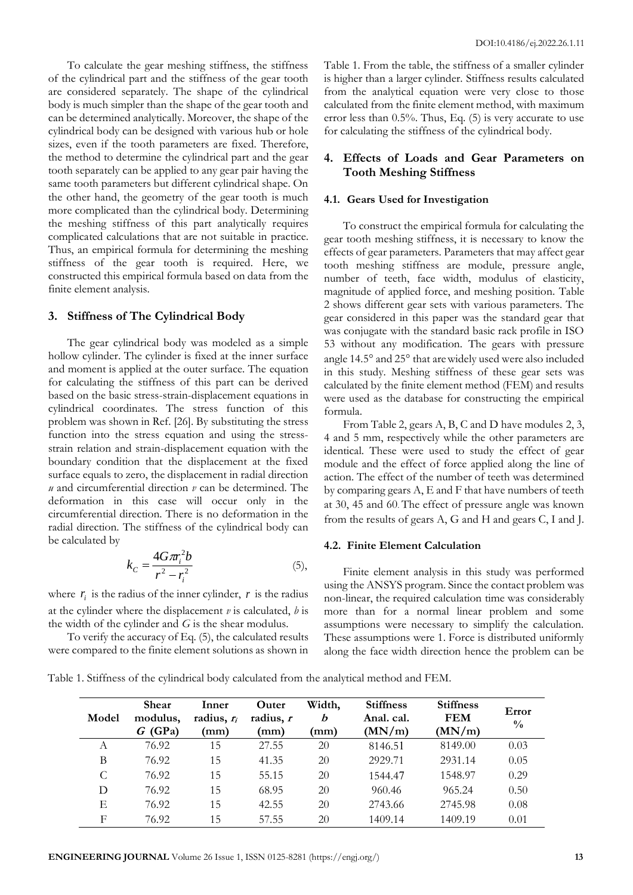To calculate the gear meshing stiffness, the stiffness of the cylindrical part and the stiffness of the gear tooth are considered separately. The shape of the cylindrical body is much simpler than the shape of the gear tooth and can be determined analytically. Moreover, the shape of the cylindrical body can be designed with various hub or hole sizes, even if the tooth parameters are fixed. Therefore, the method to determine the cylindrical part and the gear tooth separately can be applied to any gear pair having the same tooth parameters but different cylindrical shape. On the other hand, the geometry of the gear tooth is much more complicated than the cylindrical body. Determining the meshing stiffness of this part analytically requires complicated calculations that are not suitable in practice. Thus, an empirical formula for determining the meshing stiffness of the gear tooth is required. Here, we constructed this empirical formula based on data from the finite element analysis.

#### **3. Stiffness of The Cylindrical Body**

The gear cylindrical body was modeled as a simple hollow cylinder. The cylinder is fixed at the inner surface and moment is applied at the outer surface. The equation for calculating the stiffness of this part can be derived based on the basic stress-strain-displacement equations in cylindrical coordinates. The stress function of this problem was shown in Ref. [26]. By substituting the stress function into the stress equation and using the stressstrain relation and strain-displacement equation with the boundary condition that the displacement at the fixed surface equals to zero, the displacement in radial direction *u* and circumferential direction *v* can be determined. The deformation in this case will occur only in the circumferential direction. There is no deformation in the radial direction. The stiffness of the cylindrical body can be calculated by

$$
k_C = \frac{4G\pi r_i^2 b}{r^2 - r_i^2}
$$
 (5),

where  $r_i$  is the radius of the inner cylinder,  $r$  is the radius at the cylinder where the displacement *v* is calculated, *b* is the width of the cylinder and *G* is the shear modulus.

To verify the accuracy of Eq. (5), the calculated results were compared to the finite element solutions as shown in Table 1. From the table, the stiffness of a smaller cylinder is higher than a larger cylinder. Stiffness results calculated from the analytical equation were very close to those calculated from the finite element method, with maximum error less than 0.5%. Thus, Eq. (5) is very accurate to use for calculating the stiffness of the cylindrical body.

# **4. Effects of Loads and Gear Parameters on Tooth Meshing Stiffness**

#### **4.1. Gears Used for Investigation**

To construct the empirical formula for calculating the gear tooth meshing stiffness, it is necessary to know the effects of gear parameters. Parameters that may affect gear tooth meshing stiffness are module, pressure angle, number of teeth, face width, modulus of elasticity, magnitude of applied force, and meshing position. Table 2 shows different gear sets with various parameters. The gear considered in this paper was the standard gear that was conjugate with the standard basic rack profile in ISO 53 without any modification. The gears with pressure angle 14.5° and 25° that are widely used were also included in this study. Meshing stiffness of these gear sets was calculated by the finite element method (FEM) and results were used as the database for constructing the empirical formula.

From Table 2, gears A, B, C and D have modules 2, 3, 4 and 5 mm, respectively while the other parameters are identical. These were used to study the effect of gear module and the effect of force applied along the line of action. The effect of the number of teeth was determined by comparing gears A, E and F that have numbers of teeth at 30, 45 and 60. The effect of pressure angle was known from the results of gears A, G and H and gears C, I and J.

#### **4.2. Finite Element Calculation**

Finite element analysis in this study was performed using the ANSYS program. Since the contact problem was non-linear, the required calculation time was considerably more than for a normal linear problem and some assumptions were necessary to simplify the calculation. These assumptions were 1. Force is distributed uniformly along the face width direction hence the problem can be

Table 1. Stiffness of the cylindrical body calculated from the analytical method and FEM.

| Model      | <b>Shear</b><br>modulus,<br>(GPa)<br>G | Inner<br>radius, $r_i$<br>(mm) | Outer<br>radius, r<br>(mm) | Width,<br>b<br>(mm) | <b>Stiffness</b><br>Anal. cal.<br>(MN/m) | <b>Stiffness</b><br><b>FEM</b><br>(MN/m) | Error<br>$\frac{0}{0}$ |
|------------|----------------------------------------|--------------------------------|----------------------------|---------------------|------------------------------------------|------------------------------------------|------------------------|
| А          | 76.92                                  | 15                             | 27.55                      | 20                  | 8146.51                                  | 8149.00                                  | 0.03                   |
| B          | 76.92                                  | 15                             | 41.35                      | 20                  | 2929.71                                  | 2931.14                                  | 0.05                   |
| C          | 76.92                                  | 15                             | 55.15                      | 20                  | 1544.47                                  | 1548.97                                  | 0.29                   |
| D          | 76.92                                  | 15                             | 68.95                      | 20                  | 960.46                                   | 965.24                                   | 0.50                   |
| E          | 76.92                                  | 15                             | 42.55                      | 20                  | 2743.66                                  | 2745.98                                  | 0.08                   |
| $_{\rm F}$ | 76.92                                  | 15                             | 57.55                      | 20                  | 1409.14                                  | 1409.19                                  | 0.01                   |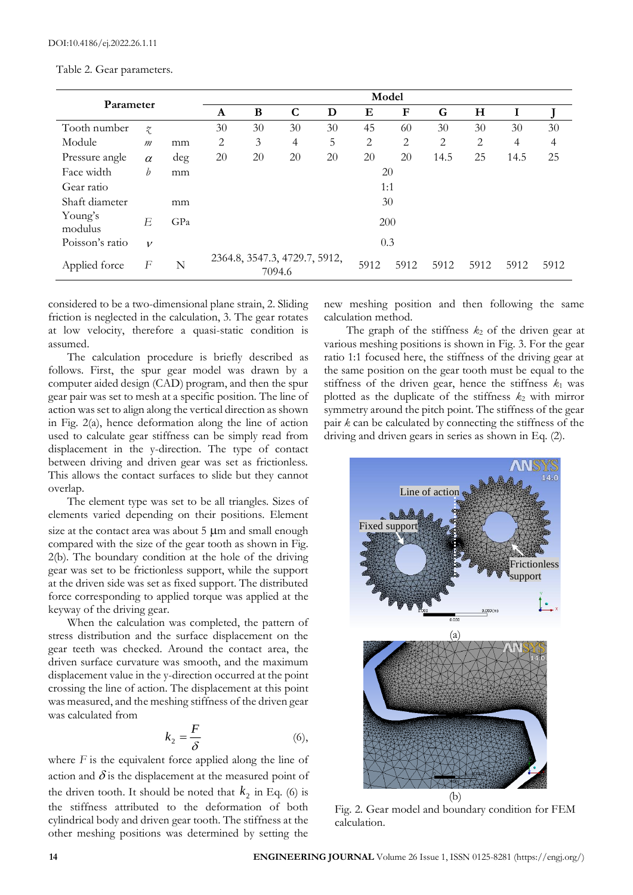|  |  | Table 2. Gear parameters. |
|--|--|---------------------------|
|--|--|---------------------------|

| Parameter          |                           | Model |     |             |                                         |    |      |      |           |      |                |      |
|--------------------|---------------------------|-------|-----|-------------|-----------------------------------------|----|------|------|-----------|------|----------------|------|
|                    |                           | A     | B   | $\mathbf C$ | D                                       | Е  | F    | G    | $H_{\rm}$ | I    |                |      |
| Tooth number       | $\widetilde{\mathcal{X}}$ |       | 30  | 30          | 30                                      | 30 | 45   | 60   | 30        | 30   | 30             | 30   |
| Module             | $\mathfrak{m}$            | mm    | 2   | 3           | 4                                       | 5  | 2    | 2    | 2         | 2    | $\overline{4}$ | 4    |
| Pressure angle     | $\alpha$                  | deg   | 20  | 20          | 20                                      | 20 | 20   | 20   | 14.5      | 25   | 14.5           | 25   |
| Face width         | b                         | mm    |     |             |                                         |    |      | 20   |           |      |                |      |
| Gear ratio         |                           |       |     |             |                                         |    | 1:1  |      |           |      |                |      |
| Shaft diameter     |                           | mm    |     |             |                                         |    |      | 30   |           |      |                |      |
| Young's<br>modulus | E                         | GPa   |     |             |                                         |    | 200  |      |           |      |                |      |
| Poisson's ratio    | $\mathcal V$              |       | 0.3 |             |                                         |    |      |      |           |      |                |      |
| Applied force      | F                         | N     |     |             | 2364.8, 3547.3, 4729.7, 5912,<br>7094.6 |    | 5912 | 5912 | 5912      | 5912 | 5912           | 5912 |

considered to be a two-dimensional plane strain, 2. Sliding friction is neglected in the calculation, 3. The gear rotates at low velocity, therefore a quasi-static condition is assumed.

The calculation procedure is briefly described as follows. First, the spur gear model was drawn by a computer aided design (CAD) program, and then the spur gear pair was set to mesh at a specific position. The line of action was set to align along the vertical direction as shown in Fig. 2(a), hence deformation along the line of action used to calculate gear stiffness can be simply read from displacement in the y-direction. The type of contact between driving and driven gear was set as frictionless. This allows the contact surfaces to slide but they cannot overlap.

The element type was set to be all triangles. Sizes of elements varied depending on their positions. Element size at the contact area was about  $5 \mu m$  and small enough compared with the size of the gear tooth as shown in Fig. 2(b). The boundary condition at the hole of the driving gear was set to be frictionless support, while the support at the driven side was set as fixed support. The distributed force corresponding to applied torque was applied at the keyway of the driving gear.

When the calculation was completed, the pattern of stress distribution and the surface displacement on the gear teeth was checked. Around the contact area, the driven surface curvature was smooth, and the maximum displacement value in the y-direction occurred at the point crossing the line of action. The displacement at this point was measured, and the meshing stiffness of the driven gear was calculated from

$$
k_2 = \frac{F}{\delta} \tag{6}
$$

where *F* is the equivalent force applied along the line of action and  $\delta$  is the displacement at the measured point of the driven tooth. It should be noted that  $k_2$  in Eq. (6) is the stiffness attributed to the deformation of both cylindrical body and driven gear tooth. The stiffness at the other meshing positions was determined by setting the

new meshing position and then following the same calculation method.

The graph of the stiffness  $k_2$  of the driven gear at various meshing positions is shown in Fig. 3. For the gear ratio 1:1 focused here, the stiffness of the driving gear at the same position on the gear tooth must be equal to the stiffness of the driven gear, hence the stiffness  $k_1$  was plotted as the duplicate of the stiffness  $k_2$  with mirror symmetry around the pitch point. The stiffness of the gear pair *k* can be calculated by connecting the stiffness of the driving and driven gears in series as shown in Eq. (2).



Fig. 2. Gear model and boundary condition for FEM calculation.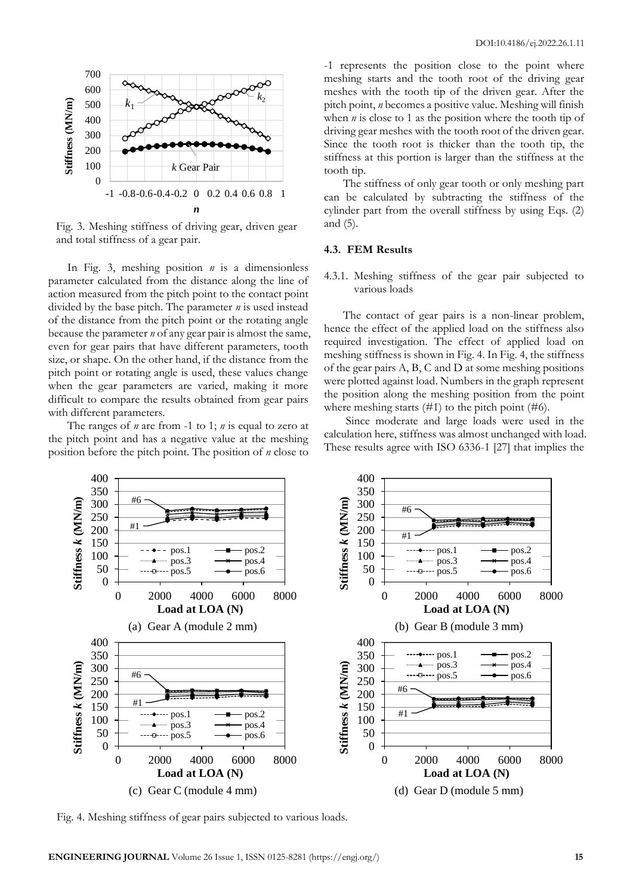

Fig. 3. Meshing stiffness of driving gear, driven gear and total stiffness of a gear pair.

In Fig. 3, meshing position *n* is a dimensionless parameter calculated from the distance along the line of action measured from the pitch point to the contact point divided by the base pitch. The parameter *n* is used instead of the distance from the pitch point or the rotating angle because the parameter *n* of any gear pair is almost the same, even for gear pairs that have different parameters, tooth size, or shape. On the other hand, if the distance from the pitch point or rotating angle is used, these values change when the gear parameters are varied, making it more difficult to compare the results obtained from gear pairs with different parameters.

The ranges of *n* are from -1 to 1; *n* is equal to zero at the pitch point and has a negative value at the meshing position before the pitch point. The position of *n* close to -1 represents the position close to the point where meshing starts and the tooth root of the driving gear meshes with the tooth tip of the driven gear. After the pitch point, *n* becomes a positive value. Meshing will finish when *n* is close to 1 as the position where the tooth tip of driving gear meshes with the tooth root of the driven gear. Since the tooth root is thicker than the tooth tip, the stiffness at this portion is larger than the stiffness at the tooth tip.

The stiffness of only gear tooth or only meshing part can be calculated by subtracting the stiffness of the cylinder part from the overall stiffness by using Eqs. (2) and (5).

## **4.3. FEM Results**

4.3.1. Meshing stiffness of the gear pair subjected to various loads

The contact of gear pairs is a non-linear problem, hence the effect of the applied load on the stiffness also required investigation. The effect of applied load on meshing stiffness is shown in Fig. 4. In Fig. 4, the stiffness of the gear pairs A, B, C and D at some meshing positions were plotted against load. Numbers in the graph represent the position along the meshing position from the point where meshing starts  $(\#1)$  to the pitch point  $(\#6)$ .

Since moderate and large loads were used in the calculation here, stiffness was almost unchanged with load. These results agree with ISO 6336-1 [27] that implies the



Fig. 4. Meshing stiffness of gear pairs subjected to various loads.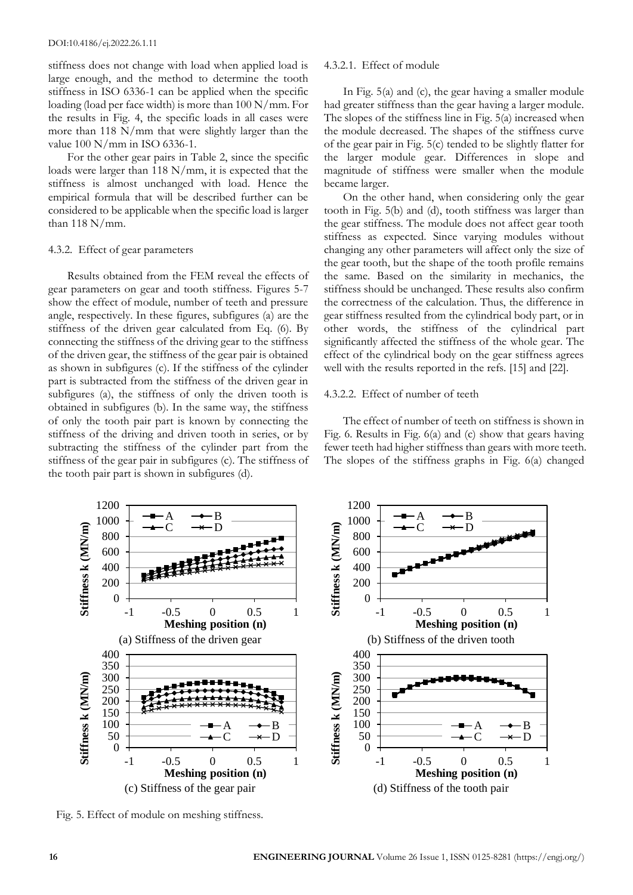stiffness does not change with load when applied load is large enough, and the method to determine the tooth stiffness in ISO 6336-1 can be applied when the specific loading (load per face width) is more than 100 N/mm. For the results in Fig. 4, the specific loads in all cases were more than 118 N/mm that were slightly larger than the value 100 N/mm in ISO 6336-1.

For the other gear pairs in Table 2, since the specific loads were larger than 118 N/mm, it is expected that the stiffness is almost unchanged with load. Hence the empirical formula that will be described further can be considered to be applicable when the specific load is larger than  $118$  N/mm.

#### 4.3.2. Effect of gear parameters

Results obtained from the FEM reveal the effects of gear parameters on gear and tooth stiffness. Figures 5-7 show the effect of module, number of teeth and pressure angle, respectively. In these figures, subfigures (a) are the stiffness of the driven gear calculated from Eq. (6). By connecting the stiffness of the driving gear to the stiffness of the driven gear, the stiffness of the gear pair is obtained as shown in subfigures (c). If the stiffness of the cylinder part is subtracted from the stiffness of the driven gear in subfigures (a), the stiffness of only the driven tooth is obtained in subfigures (b). In the same way, the stiffness of only the tooth pair part is known by connecting the stiffness of the driving and driven tooth in series, or by subtracting the stiffness of the cylinder part from the stiffness of the gear pair in subfigures (c). The stiffness of the tooth pair part is shown in subfigures (d).

#### 4.3.2.1. Effect of module

In Fig. 5(a) and (c), the gear having a smaller module had greater stiffness than the gear having a larger module. The slopes of the stiffness line in Fig. 5(a) increased when the module decreased. The shapes of the stiffness curve of the gear pair in Fig. 5(c) tended to be slightly flatter for the larger module gear. Differences in slope and magnitude of stiffness were smaller when the module became larger.

On the other hand, when considering only the gear tooth in Fig. 5(b) and (d), tooth stiffness was larger than the gear stiffness. The module does not affect gear tooth stiffness as expected. Since varying modules without changing any other parameters will affect only the size of the gear tooth, but the shape of the tooth profile remains the same. Based on the similarity in mechanics, the stiffness should be unchanged. These results also confirm the correctness of the calculation. Thus, the difference in gear stiffness resulted from the cylindrical body part, or in other words, the stiffness of the cylindrical part significantly affected the stiffness of the whole gear. The effect of the cylindrical body on the gear stiffness agrees well with the results reported in the refs. [15] and [22].

## 4.3.2.2. Effect of number of teeth

The effect of number of teeth on stiffness is shown in Fig. 6. Results in Fig. 6(a) and (c) show that gears having fewer teeth had higher stiffness than gears with more teeth. The slopes of the stiffness graphs in Fig. 6(a) changed



Fig. 5. Effect of module on meshing stiffness.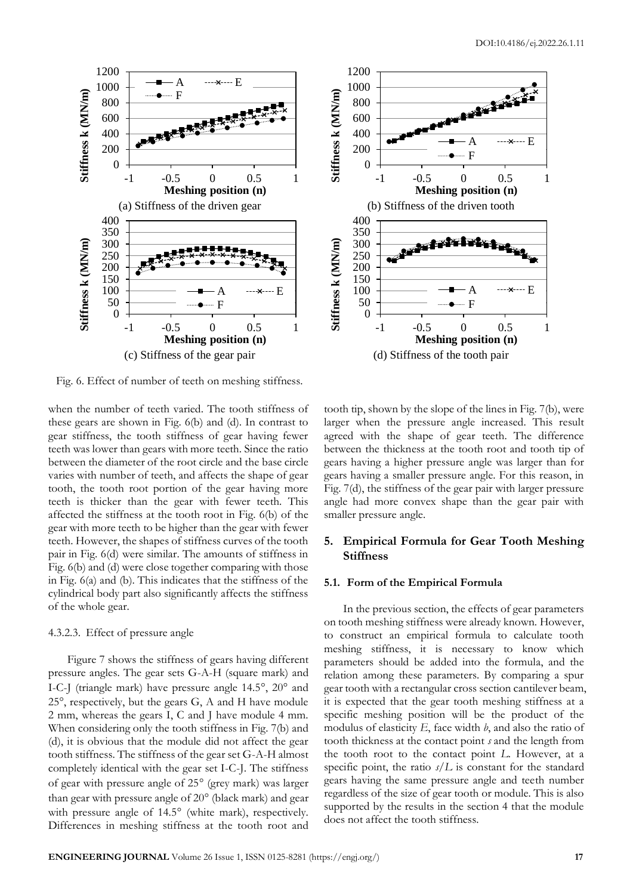

Fig. 6. Effect of number of teeth on meshing stiffness.

when the number of teeth varied. The tooth stiffness of these gears are shown in Fig. 6(b) and (d). In contrast to gear stiffness, the tooth stiffness of gear having fewer teeth was lower than gears with more teeth. Since the ratio between the diameter of the root circle and the base circle varies with number of teeth, and affects the shape of gear tooth, the tooth root portion of the gear having more teeth is thicker than the gear with fewer teeth. This affected the stiffness at the tooth root in Fig. 6(b) of the gear with more teeth to be higher than the gear with fewer teeth. However, the shapes of stiffness curves of the tooth pair in Fig. 6(d) were similar. The amounts of stiffness in Fig. 6(b) and (d) were close together comparing with those in Fig. 6(a) and (b). This indicates that the stiffness of the cylindrical body part also significantly affects the stiffness of the whole gear.

## 4.3.2.3. Effect of pressure angle

Figure 7 shows the stiffness of gears having different pressure angles. The gear sets G-A-H (square mark) and I-C-J (triangle mark) have pressure angle  $14.5^{\circ}$ ,  $20^{\circ}$  and 25°, respectively, but the gears G, A and H have module 2 mm, whereas the gears I, C and J have module 4 mm. When considering only the tooth stiffness in Fig. 7(b) and (d), it is obvious that the module did not affect the gear tooth stiffness. The stiffness of the gear set G-A-H almost completely identical with the gear set I-C-J. The stiffness of gear with pressure angle of  $25^{\circ}$  (grey mark) was larger than gear with pressure angle of  $20^{\circ}$  (black mark) and gear with pressure angle of  $14.5^\circ$  (white mark), respectively. Differences in meshing stiffness at the tooth root and



-1 -0.5 0 0.5 1 **Meshing position (n)**

ب<del>اء الالي</del>ليو<br>ا

-1 -0.5 0 0.5 1 **Meshing position (n)**

F

F

 $A \longrightarrow X \longrightarrow F$ 

A  $\cdots$   $\times$   $\cdots$   $\cdots$   $\cdots$   $\cdots$   $\cdots$ 

# **5. Empirical Formula for Gear Tooth Meshing Stiffness**

#### **5.1. Form of the Empirical Formula**

**Stiffness k (MN/m)**

Stiffness k (MN/m)

**Stiffness k (MN/m)**

Stiffness k (MN/m)

In the previous section, the effects of gear parameters on tooth meshing stiffness were already known. However, to construct an empirical formula to calculate tooth meshing stiffness, it is necessary to know which parameters should be added into the formula, and the relation among these parameters. By comparing a spur gear tooth with a rectangular cross section cantilever beam, it is expected that the gear tooth meshing stiffness at a specific meshing position will be the product of the modulus of elasticity *E*, face width *b*, and also the ratio of tooth thickness at the contact point *s* and the length from the tooth root to the contact point *L*. However, at a specific point, the ratio  $s/L$  is constant for the standard gears having the same pressure angle and teeth number regardless of the size of gear tooth or module. This is also supported by the results in the section 4 that the module does not affect the tooth stiffness.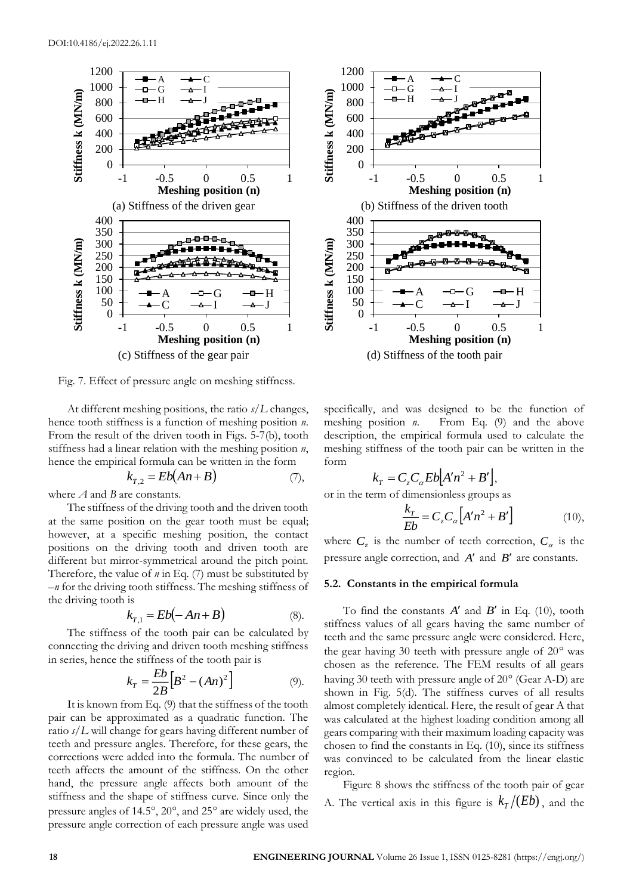

Fig. 7. Effect of pressure angle on meshing stiffness.

At different meshing positions, the ratio *s*/*L* changes, hence tooth stiffness is a function of meshing position *n*. From the result of the driven tooth in Figs. 5-7(b), tooth stiffness had a linear relation with the meshing position *n*, hence the empirical formula can be written in the form

$$
k_{T,2} = Eb(An+B)
$$
 (7),

where *A* and *B* are constants.

The stiffness of the driving tooth and the driven tooth at the same position on the gear tooth must be equal; however, at a specific meshing position, the contact positions on the driving tooth and driven tooth are different but mirror-symmetrical around the pitch point. Therefore, the value of *n* in Eq. (7) must be substituted by –*n* for the driving tooth stiffness. The meshing stiffness of the driving tooth is

$$
k_{T,1} = Eb(-An+B)
$$
 (8).

The stiffness of the tooth pair can be calculated by connecting the driving and driven tooth meshing stiffness in series, hence the stiffness of the tooth pair is

$$
k_T = \frac{Eb}{2B} \Big[ B^2 - (An)^2 \Big] \tag{9}.
$$

It is known from Eq. (9) that the stiffness of the tooth pair can be approximated as a quadratic function. The ratio *s*/*L* will change for gears having different number of teeth and pressure angles. Therefore, for these gears, the corrections were added into the formula. The number of teeth affects the amount of the stiffness. On the other hand, the pressure angle affects both amount of the stiffness and the shape of stiffness curve. Since only the pressure angles of  $14.5^\circ$ ,  $20^\circ$ , and  $25^\circ$  are widely used, the pressure angle correction of each pressure angle was used



specifically, and was designed to be the function of meshing position *n*. From Eq. (9) and the above description, the empirical formula used to calculate the meshing stiffness of the tooth pair can be written in the form

$$
k_T = C_z C_\alpha E b [A'n^2 + B'],
$$

or in the term of dimensionless groups as

$$
\frac{k_T}{Eb} = C_z C_\alpha \left[ A'n^2 + B' \right] \tag{10}
$$

where  $C_z$  is the number of teeth correction,  $C_\alpha$  is the pressure angle correction, and A' and B' are constants.

#### **5.2. Constants in the empirical formula**

To find the constants  $A'$  and  $B'$  in Eq. (10), tooth stiffness values of all gears having the same number of teeth and the same pressure angle were considered. Here, the gear having 30 teeth with pressure angle of  $20^{\circ}$  was chosen as the reference. The FEM results of all gears having 30 teeth with pressure angle of  $20^{\circ}$  (Gear A-D) are shown in Fig. 5(d). The stiffness curves of all results almost completely identical. Here, the result of gear A that was calculated at the highest loading condition among all gears comparing with their maximum loading capacity was chosen to find the constants in Eq. (10), since its stiffness was convinced to be calculated from the linear elastic region.

Figure 8 shows the stiffness of the tooth pair of gear A. The vertical axis in this figure is  $k_T/(Eb)$ , and the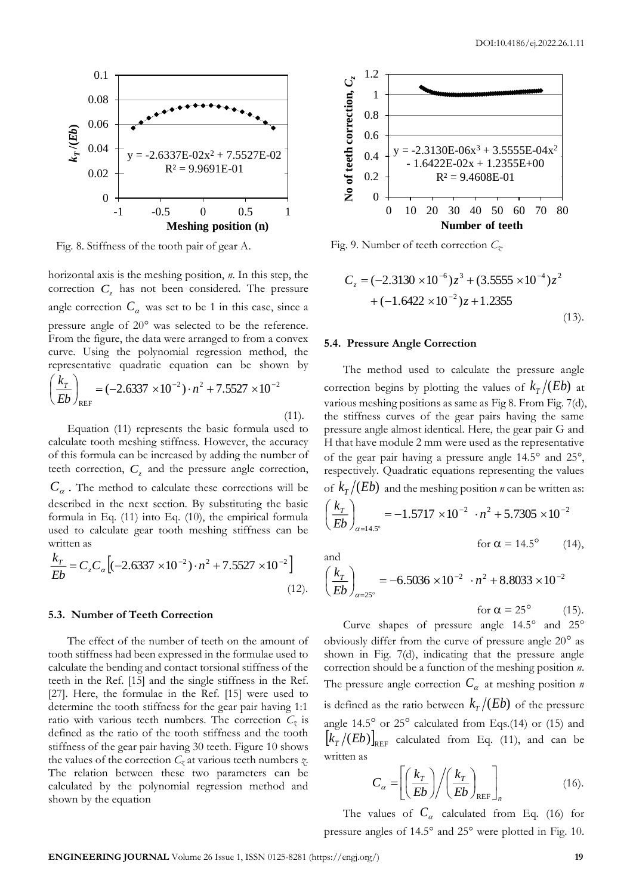

Fig. 8. Stiffness of the tooth pair of gear A.

horizontal axis is the meshing position, *n*. In this step, the correction  $C_z$  has not been considered. The pressure angle correction  $C_a$  was set to be 1 in this case, since a pressure angle of 20° was selected to be the reference. From the figure, the data were arranged to from a convex curve. Using the polynomial regression method, the representative quadratic equation can be shown by 2 2  $7.772$   $10^{-2}$ REF  $\vert$  =  $(-2.6337 \times 10^{-2}) \cdot n^2 + 7.5527 \times 10^{-7}$ J  $\left(\frac{k_T}{k_T}\right)$ l  $\left(\frac{k_T}{Eb}\right)_{\text{n}_{\text{E}}}=(-2.6337\times10^{-2})\cdot n$  $k_{\scriptscriptstyle T}$  $(11).$ 

Equation (11) represents the basic formula used to calculate tooth meshing stiffness. However, the accuracy of this formula can be increased by adding the number of teeth correction,  $C_z$  and the pressure angle correction,  $C_a$ . The method to calculate these corrections will be described in the next section. By substituting the basic formula in Eq. (11) into Eq. (10), the empirical formula used to calculate gear tooth meshing stiffness can be written as

$$
\frac{k_T}{Eb} = C_z C_\alpha \left[ (-2.6337 \times 10^{-2}) \cdot n^2 + 7.5527 \times 10^{-2} \right]
$$
\n(12).

#### **5.3. Number of Teeth Correction**

The effect of the number of teeth on the amount of tooth stiffness had been expressed in the formulae used to calculate the bending and contact torsional stiffness of the teeth in the Ref. [15] and the single stiffness in the Ref. [27]. Here, the formulae in the Ref. [15] were used to determine the tooth stiffness for the gear pair having 1:1 ratio with various teeth numbers. The correction  $C_z$  is defined as the ratio of the tooth stiffness and the tooth stiffness of the gear pair having 30 teeth. Figure 10 shows the values of the correction  $C_z$  at various teeth numbers  $\chi$ . The relation between these two parameters can be calculated by the polynomial regression method and shown by the equation



Fig. 9. Number of teeth correction *Cz*.

$$
C_z = (-2.3130 \times 10^{-6})z^3 + (3.5555 \times 10^{-4})z^2
$$
  
+ 
$$
(-1.6422 \times 10^{-2})z + 1.2355
$$
 (13).

#### **5.4. Pressure Angle Correction**

14.5

α

and

:14.5°

The method used to calculate the pressure angle correction begins by plotting the values of  $k_T/(Eb)$  at various meshing positions as same as Fig 8. From Fig. 7(d), the stiffness curves of the gear pairs having the same pressure angle almost identical. Here, the gear pair G and H that have module 2 mm were used as the representative of the gear pair having a pressure angle  $14.5^\circ$  and  $25^\circ$ , respectively. Quadratic equations representing the values of  $k_T/(Eb)$  and the meshing position *n* can be written as: 2 2  $2 \cdot 7005 \cdot 10^{-2}$  $1.5717 \times 10^{-2}$   $\cdot n^2 + 5.7305 \times 10^{-7}$  $= -1.5717 \times 10^{-2}$   $\cdot n^2 + 5.7305 \times$ J  $\backslash$ I l ſ *Eb*  $k_{\scriptscriptstyle T}$ 

for 
$$
\alpha = 14.5^{\circ}
$$
 (14),

$$
\left(\frac{k_T}{Eb}\right)_{\alpha=25^\circ} = -6.5036 \times 10^{-2} \cdot n^2 + 8.8033 \times 10^{-2}
$$
  
for  $\alpha = 25^\circ$  (15).

Curve shapes of pressure angle  $14.5^{\circ}$  and  $25^{\circ}$ obviously differ from the curve of pressure angle  $20^{\circ}$  as shown in Fig. 7(d), indicating that the pressure angle correction should be a function of the meshing position *n*. The pressure angle correction  $C_a$  at meshing position *n* is defined as the ratio between  $k_T/(Eb)$  of the pressure angle  $14.5^{\circ}$  or  $25^{\circ}$  calculated from Eqs.(14) or (15) and  $\left[k_{T}/(Eb)\right]_{\rm REF}$  calculated from Eq. (11), and can be written as

$$
C_{\alpha} = \left[ \left( \frac{k_T}{Eb} \right) / \left( \frac{k_T}{Eb} \right)_{\text{REF}} \right]_{n}
$$
 (16).

The values of  $C_a$  calculated from Eq. (16) for pressure angles of  $14.5^\circ$  and  $25^\circ$  were plotted in Fig. 10.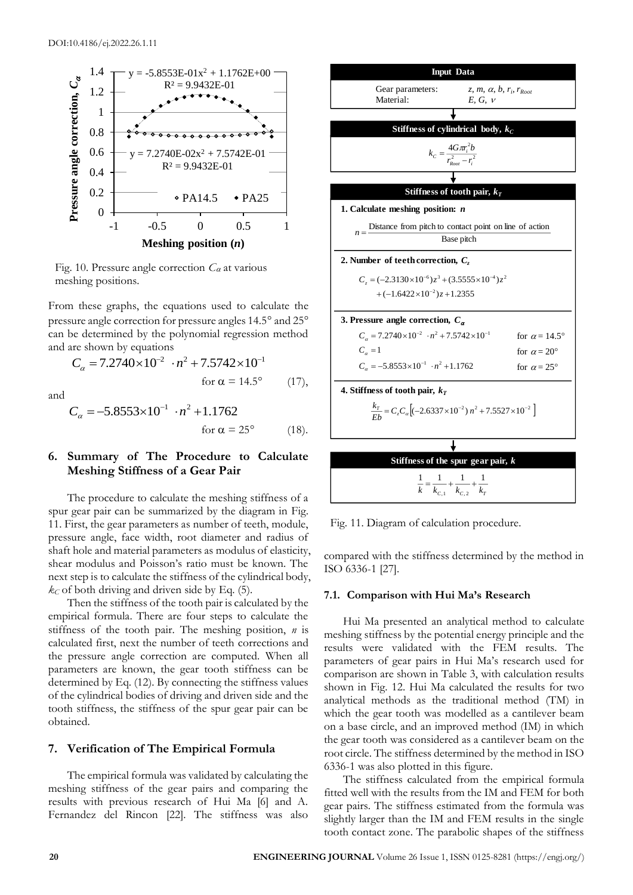

Fig. 10. Pressure angle correction  $C_{\alpha}$  at various meshing positions.

From these graphs, the equations used to calculate the pressure angle correction for pressure angles 14.5° and 25° can be determined by the polynomial regression method and are shown by equations

$$
C_{\alpha} = 7.2740 \times 10^{-2} \cdot n^2 + 7.5742 \times 10^{-1}
$$
  
for  $\alpha = 14.5^{\circ}$  (17),

and

$$
C_{\alpha} = -5.8553 \times 10^{-1} \cdot n^2 + 1.1762
$$
  
for  $\alpha = 25^{\circ}$  (18).

# **6. Summary of The Procedure to Calculate Meshing Stiffness of a Gear Pair**

The procedure to calculate the meshing stiffness of a spur gear pair can be summarized by the diagram in Fig. 11. First, the gear parameters as number of teeth, module, pressure angle, face width, root diameter and radius of shaft hole and material parameters as modulus of elasticity, shear modulus and Poisson's ratio must be known. The next step is to calculate the stiffness of the cylindrical body,  $k_C$  of both driving and driven side by Eq. (5).

Then the stiffness of the tooth pair is calculated by the empirical formula. There are four steps to calculate the stiffness of the tooth pair. The meshing position, *n* is calculated first, next the number of teeth corrections and the pressure angle correction are computed. When all parameters are known, the gear tooth stiffness can be determined by Eq. (12). By connecting the stiffness values of the cylindrical bodies of driving and driven side and the tooth stiffness, the stiffness of the spur gear pair can be obtained.

## **7. Verification of The Empirical Formula**

The empirical formula was validated by calculating the meshing stiffness of the gear pairs and comparing the results with previous research of Hui Ma [6] and A. Fernandez del Rincon [22]. The stiffness was also



Fig. 11. Diagram of calculation procedure.

compared with the stiffness determined by the method in ISO 6336-1 [27].

#### **7.1. Comparison with Hui Ma's Research**

Hui Ma presented an analytical method to calculate meshing stiffness by the potential energy principle and the results were validated with the FEM results. The parameters of gear pairs in Hui Ma's research used for comparison are shown in Table 3, with calculation results shown in Fig. 12. Hui Ma calculated the results for two analytical methods as the traditional method (TM) in which the gear tooth was modelled as a cantilever beam on a base circle, and an improved method (IM) in which the gear tooth was considered as a cantilever beam on the root circle. The stiffness determined by the method in ISO 6336-1 was also plotted in this figure.

The stiffness calculated from the empirical formula fitted well with the results from the IM and FEM for both gear pairs. The stiffness estimated from the formula was slightly larger than the IM and FEM results in the single tooth contact zone. The parabolic shapes of the stiffness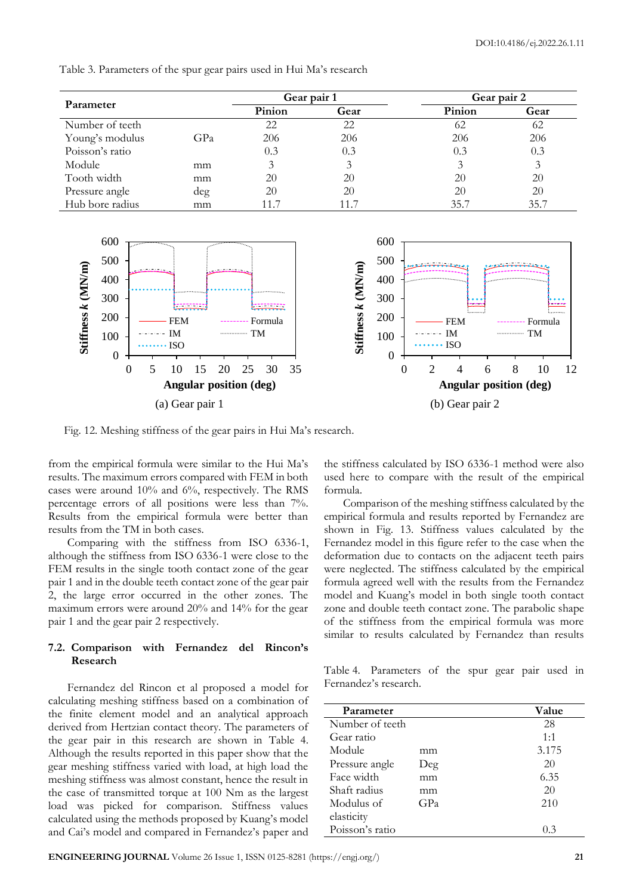Table 3. Parameters of the spur gear pairs used in Hui Ma's research

| Parameter       |     | Gear pair 1 |      | Gear pair 2 |      |  |  |
|-----------------|-----|-------------|------|-------------|------|--|--|
|                 |     | Pinion      | Gear | Pinion      | Gear |  |  |
| Number of teeth |     | 22          | 22   | 62          | 62   |  |  |
| Young's modulus | GPa | 206         | 206  | 206         | 206  |  |  |
| Poisson's ratio |     | 0.3         | 0.3  | 0.3         | 0.3  |  |  |
| Module          | mm  | 3           |      |             |      |  |  |
| Tooth width     | mm  | 20          | 20   | 20          | 20   |  |  |
| Pressure angle  | deg | 20          | 20   | 20          | 20   |  |  |
| Hub bore radius | mm  | 11.7        | 11.7 | 35.7        | 35.7 |  |  |



Fig. 12. Meshing stiffness of the gear pairs in Hui Ma's research.

from the empirical formula were similar to the Hui Ma's results. The maximum errors compared with FEM in both cases were around 10% and 6%, respectively. The RMS percentage errors of all positions were less than 7%. Results from the empirical formula were better than results from the TM in both cases.

Comparing with the stiffness from ISO 6336-1, although the stiffness from ISO 6336-1 were close to the FEM results in the single tooth contact zone of the gear pair 1 and in the double teeth contact zone of the gear pair 2, the large error occurred in the other zones. The maximum errors were around 20% and 14% for the gear pair 1 and the gear pair 2 respectively.

# **7.2. Comparison with Fernandez del Rincon's Research**

Fernandez del Rincon et al proposed a model for calculating meshing stiffness based on a combination of the finite element model and an analytical approach derived from Hertzian contact theory. The parameters of the gear pair in this research are shown in Table 4. Although the results reported in this paper show that the gear meshing stiffness varied with load, at high load the meshing stiffness was almost constant, hence the result in the case of transmitted torque at 100 Nm as the largest load was picked for comparison. Stiffness values calculated using the methods proposed by Kuang's model and Cai's model and compared in Fernandez's paper and the stiffness calculated by ISO 6336-1 method were also used here to compare with the result of the empirical formula.

Comparison of the meshing stiffness calculated by the empirical formula and results reported by Fernandez are shown in Fig. 13. Stiffness values calculated by the Fernandez model in this figure refer to the case when the deformation due to contacts on the adjacent teeth pairs were neglected. The stiffness calculated by the empirical formula agreed well with the results from the Fernandez model and Kuang's model in both single tooth contact zone and double teeth contact zone. The parabolic shape of the stiffness from the empirical formula was more similar to results calculated by Fernandez than results

Table 4. Parameters of the spur gear pair used in Fernandez's research.

| Parameter       | Value |        |  |
|-----------------|-------|--------|--|
| Number of teeth |       | 28     |  |
| Gear ratio      |       | 1:1    |  |
| Module          | mm    | 3.175  |  |
| Pressure angle  | Deg   | 20     |  |
| Face width      | mm    | 6.35   |  |
| Shaft radius    | mm    | 20     |  |
| Modulus of      | GPa   | 210    |  |
| elasticity      |       |        |  |
| Poisson's ratio |       | (1, 3) |  |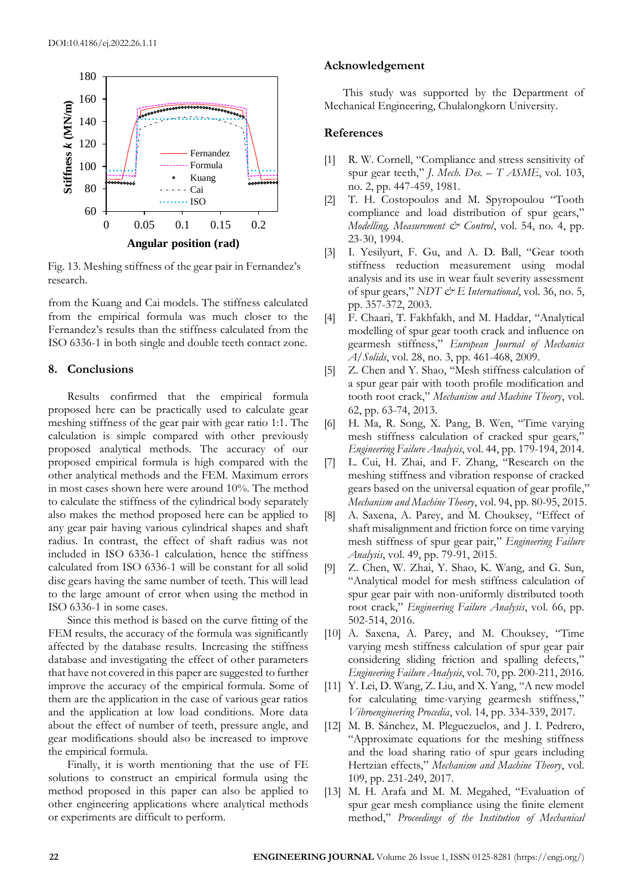

Fig. 13. Meshing stiffness of the gear pair in Fernandez's research.

from the Kuang and Cai models. The stiffness calculated from the empirical formula was much closer to the Fernandez's results than the stiffness calculated from the ISO 6336-1 in both single and double teeth contact zone.

#### **8. Conclusions**

Results confirmed that the empirical formula proposed here can be practically used to calculate gear meshing stiffness of the gear pair with gear ratio 1:1. The calculation is simple compared with other previously proposed analytical methods. The accuracy of our proposed empirical formula is high compared with the other analytical methods and the FEM. Maximum errors in most cases shown here were around 10%. The method to calculate the stiffness of the cylindrical body separately also makes the method proposed here can be applied to any gear pair having various cylindrical shapes and shaft radius. In contrast, the effect of shaft radius was not included in ISO 6336-1 calculation, hence the stiffness calculated from ISO 6336-1 will be constant for all solid disc gears having the same number of teeth. This will lead to the large amount of error when using the method in ISO 6336-1 in some cases.

Since this method is based on the curve fitting of the FEM results, the accuracy of the formula was significantly affected by the database results. Increasing the stiffness database and investigating the effect of other parameters that have not covered in this paper are suggested to further improve the accuracy of the empirical formula. Some of them are the application in the case of various gear ratios and the application at low load conditions. More data about the effect of number of teeth, pressure angle, and gear modifications should also be increased to improve the empirical formula.

Finally, it is worth mentioning that the use of FE solutions to construct an empirical formula using the method proposed in this paper can also be applied to other engineering applications where analytical methods or experiments are difficult to perform.

## **Acknowledgement**

This study was supported by the Department of Mechanical Engineering, Chulalongkorn University.

# **References**

- [1] R. W. Cornell, "Compliance and stress sensitivity of spur gear teeth," *J. Mech. Des. – T ASME*, vol. 103, no. 2, pp. 447-459, 1981.
- [2] T. H. Costopoulos and M. Spyropoulou "Tooth compliance and load distribution of spur gears," *Modelling, Measurement & Control*, vol. 54, no. 4, pp. 23-30, 1994.
- [3] I. Yesilyurt, F. Gu, and A. D. Ball, "Gear tooth stiffness reduction measurement using modal analysis and its use in wear fault severity assessment of spur gears," *NDT & E International*, vol. 36, no. 5, pp. 357-372, 2003.
- [4] F. Chaari, T. Fakhfakh, and M. Haddar, "Analytical modelling of spur gear tooth crack and influence on gearmesh stiffness," *European Journal of Mechanics A/Solids*, vol. 28, no. 3, pp. 461-468, 2009.
- [5] Z. Chen and Y. Shao, "Mesh stiffness calculation of a spur gear pair with tooth profile modification and tooth root crack," *Mechanism and Machine Theory*, vol. 62, pp. 63-74, 2013.
- [6] H. Ma, R. Song, X. Pang, B. Wen, "Time varying mesh stiffness calculation of cracked spur gears," *Engineering Failure Analysis*, vol. 44, pp. 179-194, 2014.
- [7] L. Cui, H. Zhai, and F. Zhang, "Research on the meshing stiffness and vibration response of cracked gears based on the universal equation of gear profile," *Mechanism and Machine Theory*, vol. 94, pp. 80-95, 2015.
- [8] A. Saxena, A. Parey, and M. Chouksey, "Effect of shaft misalignment and friction force on time varying mesh stiffness of spur gear pair," *Engineering Failure Analysis*, vol. 49, pp. 79-91, 2015.
- [9] Z. Chen, W. Zhai, Y. Shao, K. Wang, and G. Sun, "Analytical model for mesh stiffness calculation of spur gear pair with non-uniformly distributed tooth root crack," *Engineering Failure Analysis*, vol. 66, pp. 502-514, 2016.
- [10] A. Saxena, A. Parey, and M. Chouksey, "Time varying mesh stiffness calculation of spur gear pair considering sliding friction and spalling defects," *Engineering Failure Analysis*, vol. 70, pp. 200-211, 2016.
- [11] Y. Lei, D. Wang, Z. Liu, and X. Yang, "A new model for calculating time-varying gearmesh stiffness," *Vibroengineering Procedia*, vol. 14, pp. 334-339, 2017.
- [12] M. B. Sánchez, M. Pleguezuelos, and J. I. Pedrero, "Approximate equations for the meshing stiffness and the load sharing ratio of spur gears including Hertzian effects," *Mechanism and Machine Theory*, vol. 109, pp. 231-249, 2017.
- [13] M. H. Arafa and M. M. Megahed, "Evaluation of spur gear mesh compliance using the finite element method," *Proceedings of the Institution of Mechanical*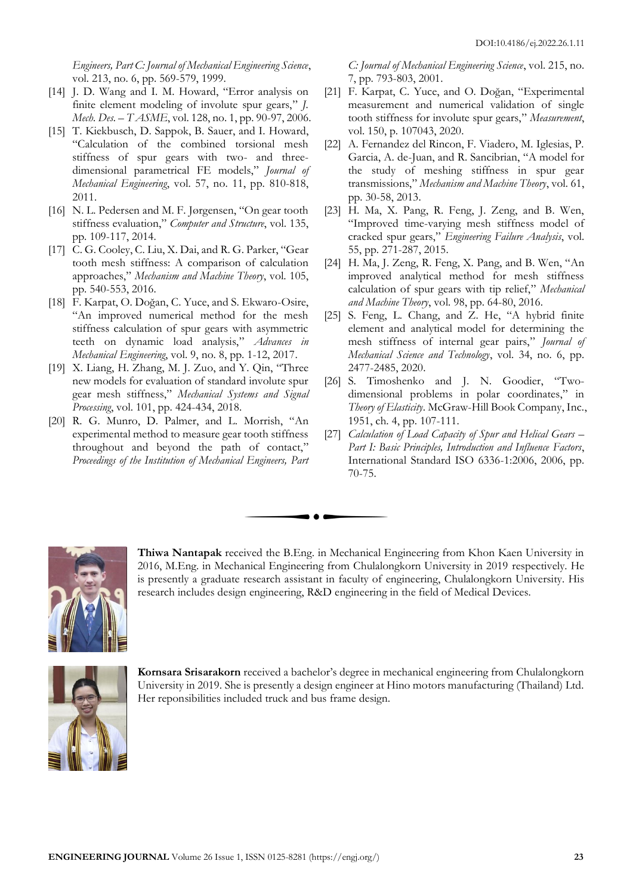*Engineers, Part C: Journal of Mechanical Engineering Science*, vol. 213, no. 6, pp. 569-579, 1999.

- [14] J. D. Wang and I. M. Howard, "Error analysis on finite element modeling of involute spur gears," *J. Mech. Des. – T ASME*, vol. 128, no. 1, pp. 90-97, 2006.
- [15] T. Kiekbusch, D. Sappok, B. Sauer, and I. Howard, "Calculation of the combined torsional mesh stiffness of spur gears with two- and threedimensional parametrical FE models," *Journal of Mechanical Engineering*, vol. 57, no. 11, pp. 810-818, 2011.
- [16] N. L. Pedersen and M. F. Jørgensen, "On gear tooth stiffness evaluation," *Computer and Structure*, vol. 135, pp. 109-117, 2014.
- [17] C. G. Cooley, C. Liu, X. Dai, and R. G. Parker, "Gear tooth mesh stiffness: A comparison of calculation approaches," *Mechanism and Machine Theory*, vol. 105, pp. 540-553, 2016.
- [18] F. Karpat, O. Doğan, C. Yuce, and S. Ekwaro-Osire, "An improved numerical method for the mesh stiffness calculation of spur gears with asymmetric teeth on dynamic load analysis," *Advances in Mechanical Engineering*, vol. 9, no. 8, pp. 1-12, 2017.
- [19] X. Liang, H. Zhang, M. J. Zuo, and Y. Qin, "Three new models for evaluation of standard involute spur gear mesh stiffness," *Mechanical Systems and Signal Processing*, vol. 101, pp. 424-434, 2018.
- [20] R. G. Munro, D. Palmer, and L. Morrish, "An experimental method to measure gear tooth stiffness throughout and beyond the path of contact," *Proceedings of the Institution of Mechanical Engineers, Part*

*C: Journal of Mechanical Engineering Science*, vol. 215, no. 7, pp. 793-803, 2001.

- [21] F. Karpat, C. Yuce, and O. Doğan, "Experimental measurement and numerical validation of single tooth stiffness for involute spur gears," *Measurement*, vol. 150, p. 107043, 2020.
- [22] A. Fernandez del Rincon, F. Viadero, M. Iglesias, P. Garcia, A. de-Juan, and R. Sancibrian, "A model for the study of meshing stiffness in spur gear transmissions," *Mechanism and Machine Theory*, vol. 61, pp. 30-58, 2013.
- [23] H. Ma, X. Pang, R. Feng, J. Zeng, and B. Wen, "Improved time-varying mesh stiffness model of cracked spur gears," *Engineering Failure Analysis*, vol. 55, pp. 271-287, 2015.
- [24] H. Ma, J. Zeng, R. Feng, X. Pang, and B. Wen, "An improved analytical method for mesh stiffness calculation of spur gears with tip relief," *Mechanical and Machine Theory*, vol. 98, pp. 64-80, 2016.
- [25] S. Feng, L. Chang, and Z. He, "A hybrid finite element and analytical model for determining the mesh stiffness of internal gear pairs," *Journal of Mechanical Science and Technology*, vol. 34, no. 6, pp. 2477-2485, 2020.
- [26] S. Timoshenko and J. N. Goodier, "Twodimensional problems in polar coordinates," in *Theory of Elasticity*. McGraw-Hill Book Company, Inc., 1951, ch. 4, pp. 107-111.
- [27] *Calculation of Load Capacity of Spur and Helical Gears Part I: Basic Principles, Introduction and Influence Factors*, International Standard ISO 6336-1:2006, 2006, pp. 70-75.



**Thiwa Nantapak** received the B.Eng. in Mechanical Engineering from Khon Kaen University in 2016, M.Eng. in Mechanical Engineering from Chulalongkorn University in 2019 respectively. He is presently a graduate research assistant in faculty of engineering, Chulalongkorn University. His research includes design engineering, R&D engineering in the field of Medical Devices.



**Kornsara Srisarakorn** received a bachelor's degree in mechanical engineering from Chulalongkorn University in 2019. She is presently a design engineer at Hino motors manufacturing (Thailand) Ltd. Her reponsibilities included truck and bus frame design.